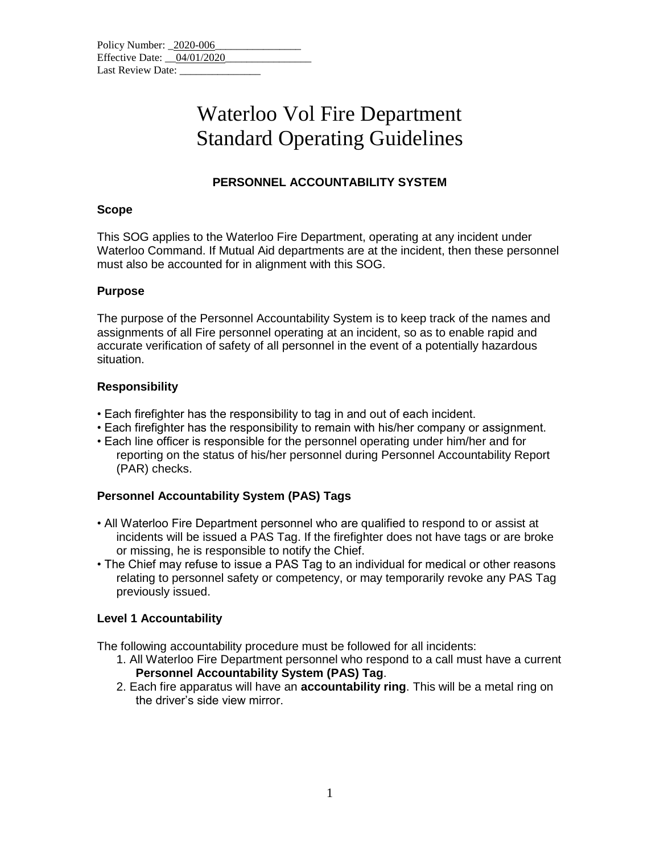| Policy Number: 2020-006      |  |  |  |
|------------------------------|--|--|--|
| Effective Date: $04/01/2020$ |  |  |  |
| Last Review Date:            |  |  |  |

## Waterloo Vol Fire Department Standard Operating Guidelines

### **PERSONNEL ACCOUNTABILITY SYSTEM**

#### **Scope**

This SOG applies to the Waterloo Fire Department, operating at any incident under Waterloo Command. If Mutual Aid departments are at the incident, then these personnel must also be accounted for in alignment with this SOG.

#### **Purpose**

The purpose of the Personnel Accountability System is to keep track of the names and assignments of all Fire personnel operating at an incident, so as to enable rapid and accurate verification of safety of all personnel in the event of a potentially hazardous situation.

### **Responsibility**

- Each firefighter has the responsibility to tag in and out of each incident.
- Each firefighter has the responsibility to remain with his/her company or assignment.
- Each line officer is responsible for the personnel operating under him/her and for reporting on the status of his/her personnel during Personnel Accountability Report (PAR) checks.

### **Personnel Accountability System (PAS) Tags**

- All Waterloo Fire Department personnel who are qualified to respond to or assist at incidents will be issued a PAS Tag. If the firefighter does not have tags or are broke or missing, he is responsible to notify the Chief.
- The Chief may refuse to issue a PAS Tag to an individual for medical or other reasons relating to personnel safety or competency, or may temporarily revoke any PAS Tag previously issued.

### **Level 1 Accountability**

The following accountability procedure must be followed for all incidents:

- 1. All Waterloo Fire Department personnel who respond to a call must have a current **Personnel Accountability System (PAS) Tag**.
- 2. Each fire apparatus will have an **accountability ring**. This will be a metal ring on the driver's side view mirror.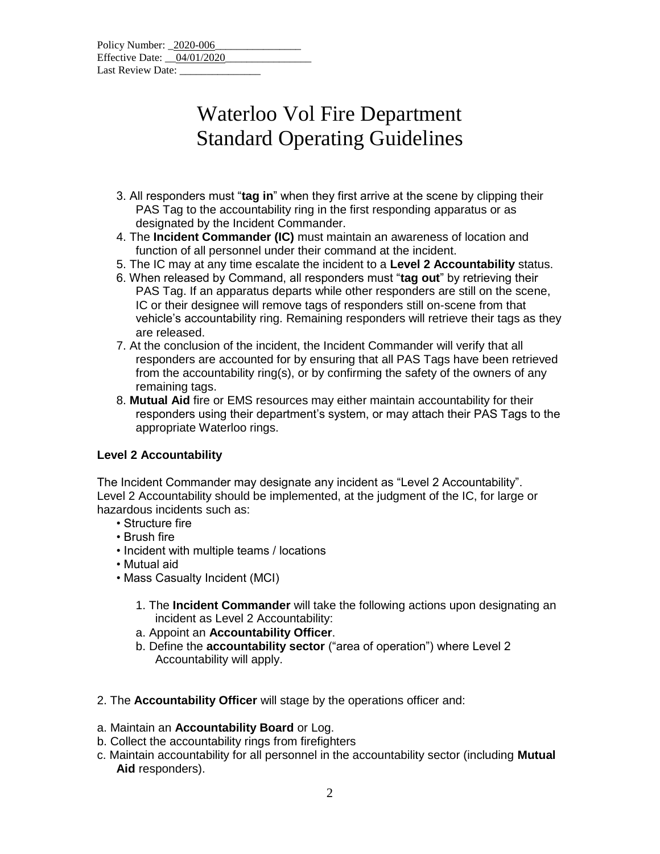| Policy Number: 2020-006    |  |  |  |
|----------------------------|--|--|--|
| Effective Date: 04/01/2020 |  |  |  |
| Last Review Date:          |  |  |  |

# Waterloo Vol Fire Department Standard Operating Guidelines

- 3. All responders must "**tag in**" when they first arrive at the scene by clipping their PAS Tag to the accountability ring in the first responding apparatus or as designated by the Incident Commander.
- 4. The **Incident Commander (IC)** must maintain an awareness of location and function of all personnel under their command at the incident.
- 5. The IC may at any time escalate the incident to a **Level 2 Accountability** status.
- 6. When released by Command, all responders must "**tag out**" by retrieving their PAS Tag. If an apparatus departs while other responders are still on the scene, IC or their designee will remove tags of responders still on-scene from that vehicle's accountability ring. Remaining responders will retrieve their tags as they are released.
- 7. At the conclusion of the incident, the Incident Commander will verify that all responders are accounted for by ensuring that all PAS Tags have been retrieved from the accountability ring(s), or by confirming the safety of the owners of any remaining tags.
- 8. **Mutual Aid** fire or EMS resources may either maintain accountability for their responders using their department's system, or may attach their PAS Tags to the appropriate Waterloo rings.

### **Level 2 Accountability**

The Incident Commander may designate any incident as "Level 2 Accountability". Level 2 Accountability should be implemented, at the judgment of the IC, for large or hazardous incidents such as:

- Structure fire
- Brush fire
- Incident with multiple teams / locations
- Mutual aid
- Mass Casualty Incident (MCI)
	- 1. The **Incident Commander** will take the following actions upon designating an incident as Level 2 Accountability:
	- a. Appoint an **Accountability Officer**.
	- b. Define the **accountability sector** ("area of operation") where Level 2 Accountability will apply.
- 2. The **Accountability Officer** will stage by the operations officer and:
- a. Maintain an **Accountability Board** or Log.
- b. Collect the accountability rings from firefighters
- c. Maintain accountability for all personnel in the accountability sector (including **Mutual Aid** responders).